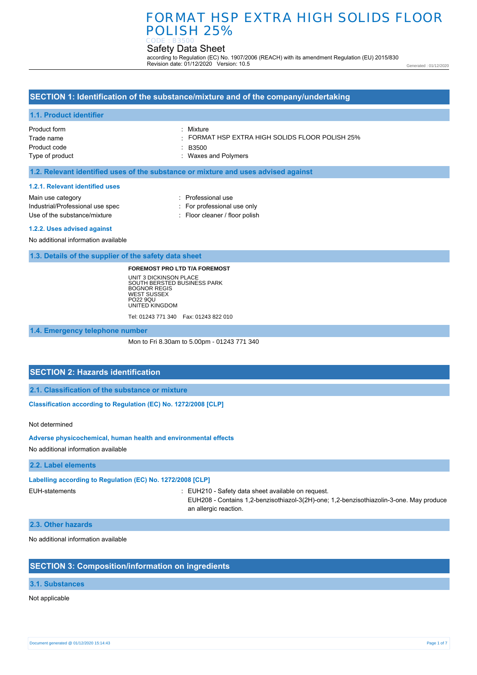# FORMAT HSP EXTRA HIGH SOLIDS FLOOR POLISH 25%

#### Safety Data Sheet CODE : B3500

according to Regulation (EC) No. 1907/2006 (REACH) with its amendment Regulation (EU) 2015/830 Revision date: 01/12/2020 Version: 10.5

Generated : 01/12/2020

## **SECTION 1: Identification of the substance/mixture and of the company/undertaking**

#### **1.1. Product identifier**

Product form Trade name Product code Type of product : Mixture

: FORMAT HSP EXTRA HIGH SOLIDS FLOOR POLISH 25%

: B3500

: Waxes and Polymers

### **1.2. Relevant identified uses of the substance or mixture and uses advised against**

#### **1.2.1. Relevant identified uses**

Main use category **intervalled Main use category intervalled Professional use** Industrial/Professional use spec : For professional use only Use of the substance/mixture : Floor cleaner / floor polish

#### **1.2.2. Uses advised against**

No additional information available

#### **1.3. Details of the supplier of the safety data sheet**

#### **FOREMOST PRO LTD T/A FOREMOST**

UNIT 3 DICKINSON PLACE SOUTH BERSTED BUSINESS PARK BOGNOR REGIS WEST SUSSEX PO22 9QU UNITED KINGDOM Tel: 01243 771 340 Fax: 01243 822 010

**1.4. Emergency telephone number**

Mon to Fri 8.30am to 5.00pm - 01243 771 340

## **SECTION 2: Hazards identification**

**2.1. Classification of the substance or mixture**

**Classification according to Regulation (EC) No. 1272/2008 [CLP]** 

Not determined

#### **Adverse physicochemical, human health and environmental effects**

No additional information available

#### **2.2. Label elements**

#### **Labelling according to Regulation (EC) No. 1272/2008 [CLP]**

EUH-statements : EUH210 - Safety data sheet available on request.

EUH208 - Contains 1,2-benzisothiazol-3(2H)-one; 1,2-benzisothiazolin-3-one. May produce an allergic reaction.

#### **2.3. Other hazards**

No additional information available

## **SECTION 3: Composition/information on ingredients**

### **3.1. Substances**

Not applicable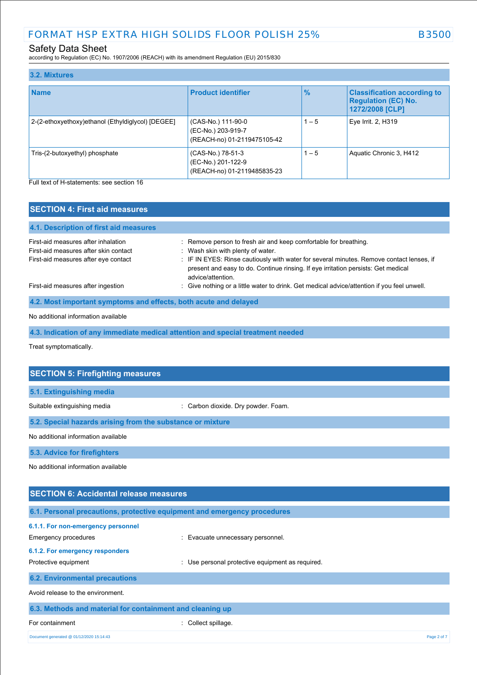according to Regulation (EC) No. 1907/2006 (REACH) with its amendment Regulation (EU) 2015/830

| 3.2. Mixtures                                     |                                                                         |               |                                                                                     |
|---------------------------------------------------|-------------------------------------------------------------------------|---------------|-------------------------------------------------------------------------------------|
| <b>Name</b>                                       | <b>Product identifier</b>                                               | $\frac{9}{6}$ | <b>Classification according to</b><br><b>Regulation (EC) No.</b><br>1272/2008 [CLP] |
| 2-(2-ethoxyethoxy)ethanol (Ethyldiglycol) [DEGEE] | (CAS-No.) 111-90-0<br>(EC-No.) 203-919-7<br>(REACH-no) 01-2119475105-42 | $1 - 5$       | Eye Irrit. 2, H319                                                                  |
| Tris-(2-butoxyethyl) phosphate                    | (CAS-No.) 78-51-3<br>(EC-No.) 201-122-9<br>(REACH-no) 01-2119485835-23  | $1 - 5$       | Aquatic Chronic 3, H412                                                             |

Full text of H-statements: see section 16

| <b>SECTION 4: First aid measures</b>                                                                                 |                                                                                                                                                                                                                                                                                                             |
|----------------------------------------------------------------------------------------------------------------------|-------------------------------------------------------------------------------------------------------------------------------------------------------------------------------------------------------------------------------------------------------------------------------------------------------------|
| 4.1. Description of first aid measures                                                                               |                                                                                                                                                                                                                                                                                                             |
| First-aid measures after inhalation<br>First-aid measures after skin contact<br>First-aid measures after eye contact | : Remove person to fresh air and keep comfortable for breathing.<br>: Wash skin with plenty of water.<br>: IF IN EYES: Rinse cautiously with water for several minutes. Remove contact lenses, if<br>present and easy to do. Continue rinsing. If eye irritation persists: Get medical<br>advice/attention. |
| First-aid measures after ingestion                                                                                   | : Give nothing or a little water to drink. Get medical advice/attention if you feel unwell.                                                                                                                                                                                                                 |
| 4.2. Most important symptoms and effects, both acute and delayed                                                     |                                                                                                                                                                                                                                                                                                             |

## No additional information available

**4.3. Indication of any immediate medical attention and special treatment needed**

Treat symptomatically.

| <b>SECTION 5: Firefighting measures</b>                                  |                                                  |
|--------------------------------------------------------------------------|--------------------------------------------------|
| 5.1. Extinguishing media                                                 |                                                  |
| Suitable extinguishing media                                             | : Carbon dioxide. Dry powder. Foam.              |
| 5.2. Special hazards arising from the substance or mixture               |                                                  |
| No additional information available                                      |                                                  |
| 5.3. Advice for firefighters                                             |                                                  |
| No additional information available                                      |                                                  |
|                                                                          |                                                  |
| <b>SECTION 6: Accidental release measures</b>                            |                                                  |
| 6.1. Personal precautions, protective equipment and emergency procedures |                                                  |
| 6.1.1. For non-emergency personnel                                       |                                                  |
| Emergency procedures                                                     | Evacuate unnecessary personnel.                  |
| 6.1.2. For emergency responders                                          |                                                  |
| Protective equipment                                                     | : Use personal protective equipment as required. |
| <b>6.2. Environmental precautions</b>                                    |                                                  |

## Avoid release to the environment.

| 6.3. Methods and material for containment and cleaning up |                     |             |
|-----------------------------------------------------------|---------------------|-------------|
| For containment                                           | : Collect spillage. |             |
| Document generated @ 01/12/2020 15:14:43                  |                     | Page 2 of 7 |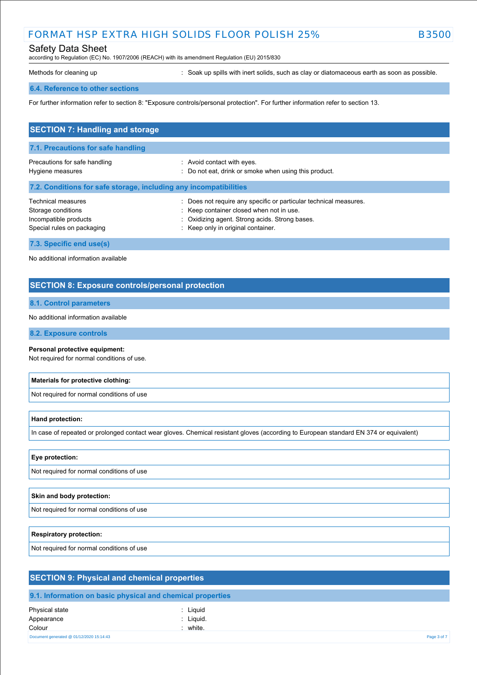## FORMAT HSP EXTRA HIGH SOLIDS FLOOR POLISH 25% B3500

## Safety Data Sheet

according to Regulation (EC) No. 1907/2006 (REACH) with its amendment Regulation (EU) 2015/830

Methods for cleaning up **interpret in the spills with inert solids**, such as clay or diatomaceous earth as soon as possible.

#### **6.4. Reference to other sections**

For further information refer to section 8: "Exposure controls/personal protection". For further information refer to section 13.

| <b>SECTION 7: Handling and storage</b>                                                          |                                                                                                                                                                                                       |  |
|-------------------------------------------------------------------------------------------------|-------------------------------------------------------------------------------------------------------------------------------------------------------------------------------------------------------|--|
| 7.1. Precautions for safe handling                                                              |                                                                                                                                                                                                       |  |
| Precautions for safe handling<br>Hygiene measures                                               | : Avoid contact with eyes.<br>: Do not eat, drink or smoke when using this product.                                                                                                                   |  |
| 7.2. Conditions for safe storage, including any incompatibilities                               |                                                                                                                                                                                                       |  |
| Technical measures<br>Storage conditions<br>Incompatible products<br>Special rules on packaging | : Does not require any specific or particular technical measures.<br>: Keep container closed when not in use.<br>: Oxidizing agent. Strong acids. Strong bases.<br>: Keep only in original container. |  |
| 7.3. Specific end use(s)                                                                        |                                                                                                                                                                                                       |  |

No additional information available

## **SECTION 8: Exposure controls/personal protection**

### **8.1. Control parameters**

No additional information available

#### **8.2. Exposure controls**

#### **Personal protective equipment:**

Not required for normal conditions of use.

#### **Materials for protective clothing:**

Not required for normal conditions of use

#### **Hand protection:**

In case of repeated or prolonged contact wear gloves. Chemical resistant gloves (according to European standard EN 374 or equivalent)

## **Eye protection:**

Not required for normal conditions of use

#### **Skin and body protection:**

Not required for normal conditions of use

#### **Respiratory protection:**

Not required for normal conditions of use

| <b>SECTION 9: Physical and chemical properties</b>         |                                  |  |
|------------------------------------------------------------|----------------------------------|--|
| 9.1. Information on basic physical and chemical properties |                                  |  |
| Physical state<br>Appearance<br>Colour                     | : Liquid<br>: Liquid.<br>: white |  |

Document generated @ 01/12/2020 15:14:43 Page 3 of 7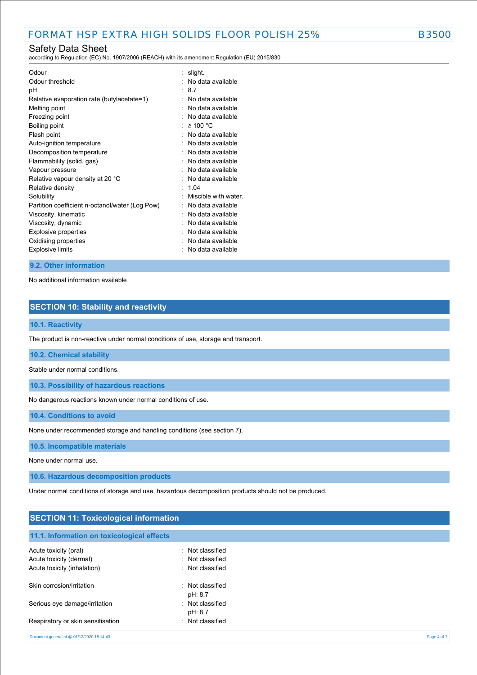according to Regulation (EC) No. 1907/2006 (REACH) with its amendment Regulation (EU) 2015/830

| Odour                                           | slight.             |
|-------------------------------------------------|---------------------|
| Odour threshold                                 | No data available   |
| рH                                              | 87                  |
| Relative evaporation rate (butylacetate=1)      | No data available   |
| Melting point                                   | No data available   |
| Freezing point                                  | No data available   |
| Boiling point                                   | ≥ 100 °C            |
| Flash point                                     | No data available   |
| Auto-ignition temperature                       | No data available   |
| Decomposition temperature                       | No data available   |
| Flammability (solid, gas)                       | No data available   |
| Vapour pressure                                 | No data available   |
| Relative vapour density at 20 °C                | No data available   |
| Relative density                                | 1 04                |
| Solubility                                      | Miscible with water |
| Partition coefficient n-octanol/water (Log Pow) | No data available   |
| Viscosity, kinematic                            | No data available   |
| Viscosity, dynamic                              | No data available   |
| <b>Explosive properties</b>                     | No data available   |
| Oxidising properties                            | No data available   |
| <b>Explosive limits</b>                         | No data available   |

### **9.2. Other information**

No additional information available

## **SECTION 10: Stability and reactivity**

### **10.1. Reactivity**

The product is non-reactive under normal conditions of use, storage and transport.

### **10.2. Chemical stability**

Stable under normal conditions.

**10.3. Possibility of hazardous reactions**

No dangerous reactions known under normal conditions of use.

**10.4. Conditions to avoid**

None under recommended storage and handling conditions (see section 7).

#### **10.5. Incompatible materials**

None under normal use.

**10.6. Hazardous decomposition products**

Under normal conditions of storage and use, hazardous decomposition products should not be produced.

## **SECTION 11: Toxicological information**

## **11.1. Information on toxicological effects**

| Acute toxicity (oral)                    | Not classified |             |
|------------------------------------------|----------------|-------------|
| Acute toxicity (dermal)                  | Not classified |             |
| Acute toxicity (inhalation)              | Not classified |             |
| Skin corrosion/irritation                | Not classified |             |
|                                          | pH: 8.7        |             |
| Serious eye damage/irritation            | Not classified |             |
|                                          | pH: 8.7        |             |
| Respiratory or skin sensitisation        | Not classified |             |
| Document generated @ 01/12/2020 15:14:43 |                | Page 4 of 7 |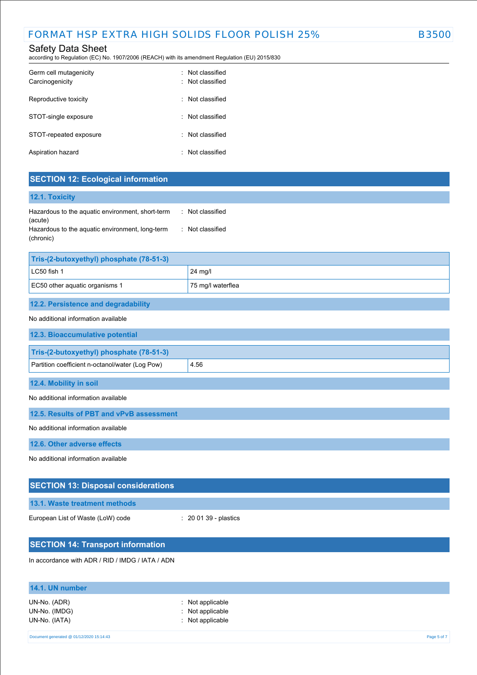according to Regulation (EC) No. 1907/2006 (REACH) with its amendment Regulation (EU) 2015/830

| Germ cell mutagenicity<br>Carcinogenicity | Not classified<br>· Not classified |
|-------------------------------------------|------------------------------------|
| Reproductive toxicity                     | : Not classified                   |
| STOT-single exposure                      | : Not classified                   |
| STOT-repeated exposure                    | : Not classified                   |
| Aspiration hazard                         | Not classified                     |

## **SECTION 12: Ecological information**

| <b>12.1. Toxicity</b>                                        |                                 |
|--------------------------------------------------------------|---------------------------------|
| Hazardous to the aquatic environment, short-term<br>(acute)  | Not classified<br>$\mathcal{L}$ |
| Hazardous to the aquatic environment, long-term<br>(chronic) | : Not classified                |

| Tris-(2-butoxyethyl) phosphate (78-51-3)            |         |  |
|-----------------------------------------------------|---------|--|
| LC50 fish 1                                         | 24 mg/l |  |
| EC50 other aquatic organisms 1<br>75 mg/l waterflea |         |  |
|                                                     |         |  |

## **12.2. Persistence and degradability**

### No additional information available

| <u>TVO duutitoliidi illioliliiduoli avaliabio</u> |      |
|---------------------------------------------------|------|
| 12.3. Bioaccumulative potential                   |      |
| Tris-(2-butoxyethyl) phosphate (78-51-3)          |      |
| Partition coefficient n-octanol/water (Log Pow)   | 4.56 |
| 12.4. Mobility in soil                            |      |

#### No additional information available

**12.5. Results of PBT and vPvB assessment**

No additional information available

**12.6. Other adverse effects**

No additional information available

| <b>SECTION 13: Disposal considerations</b>       |                                  |  |
|--------------------------------------------------|----------------------------------|--|
| 13.1. Waste treatment methods                    |                                  |  |
| European List of Waste (LoW) code                | $\therefore$ 20 01 39 - plastics |  |
|                                                  |                                  |  |
| <b>SECTION 14: Transport information</b>         |                                  |  |
| In accordance with ADR / RID / IMDG / IATA / ADN |                                  |  |

# **14.1. UN number** UN-No. (ADR) : Not applicable UN-No. (IMDG) : Not applicable UN-No. (IATA) : Not applicable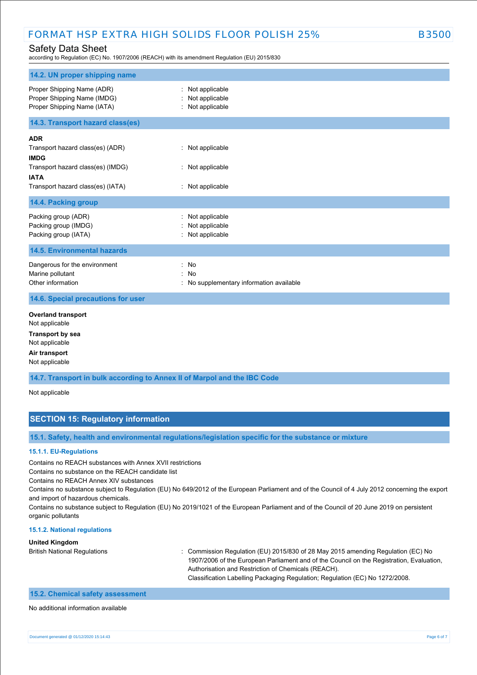## FORMAT HSP EXTRA HIGH SOLIDS FLOOR POLISH 25% B3500

## Safety Data Sheet

according to Regulation (EC) No. 1907/2006 (REACH) with its amendment Regulation (EU) 2015/830

| 14.2. UN proper shipping name                                                                                                                          |                                                               |
|--------------------------------------------------------------------------------------------------------------------------------------------------------|---------------------------------------------------------------|
| Proper Shipping Name (ADR)<br>Proper Shipping Name (IMDG)<br>Proper Shipping Name (IATA)                                                               | : Not applicable<br>Not applicable<br>: Not applicable        |
| 14.3. Transport hazard class(es)                                                                                                                       |                                                               |
| <b>ADR</b><br>Transport hazard class(es) (ADR)<br><b>IMDG</b><br>Transport hazard class(es) (IMDG)<br><b>IATA</b><br>Transport hazard class(es) (IATA) | : Not applicable<br>: Not applicable<br>: Not applicable      |
| 14.4. Packing group                                                                                                                                    |                                                               |
| Packing group (ADR)<br>Packing group (IMDG)<br>Packing group (IATA)                                                                                    | Not applicable<br>Not applicable<br>: Not applicable          |
| <b>14.5. Environmental hazards</b>                                                                                                                     |                                                               |
| Dangerous for the environment<br>Marine pollutant<br>Other information                                                                                 | : No<br><b>No</b><br>: No supplementary information available |
| 14.6. Special precautions for user                                                                                                                     |                                                               |
| <b>Overland transport</b><br>Not applicable<br><b>Transport by sea</b><br>Not applicable<br>Air transport<br>Not applicable                            |                                                               |
| 14.7. Transport in bulk according to Annex II of Marpol and the IBC Code                                                                               |                                                               |

Not applicable

## **SECTION 15: Regulatory information**

**15.1. Safety, health and environmental regulations/legislation specific for the substance or mixture**

#### **15.1.1. EU-Regulations**

Contains no REACH substances with Annex XVII restrictions

Contains no substance on the REACH candidate list

Contains no REACH Annex XIV substances

Contains no substance subject to Regulation (EU) No 649/2012 of the European Parliament and of the Council of 4 July 2012 concerning the export and import of hazardous chemicals.

Contains no substance subject to Regulation (EU) No 2019/1021 of the European Parliament and of the Council of 20 June 2019 on persistent organic pollutants

#### **15.1.2. National regulations**

#### **United Kingdom**

British National Regulations : Commission Regulation (EU) 2015/830 of 28 May 2015 amending Regulation (EC) No 1907/2006 of the European Parliament and of the Council on the Registration, Evaluation, Authorisation and Restriction of Chemicals (REACH). Classification Labelling Packaging Regulation; Regulation (EC) No 1272/2008.

## **15.2. Chemical safety assessment**

No additional information available